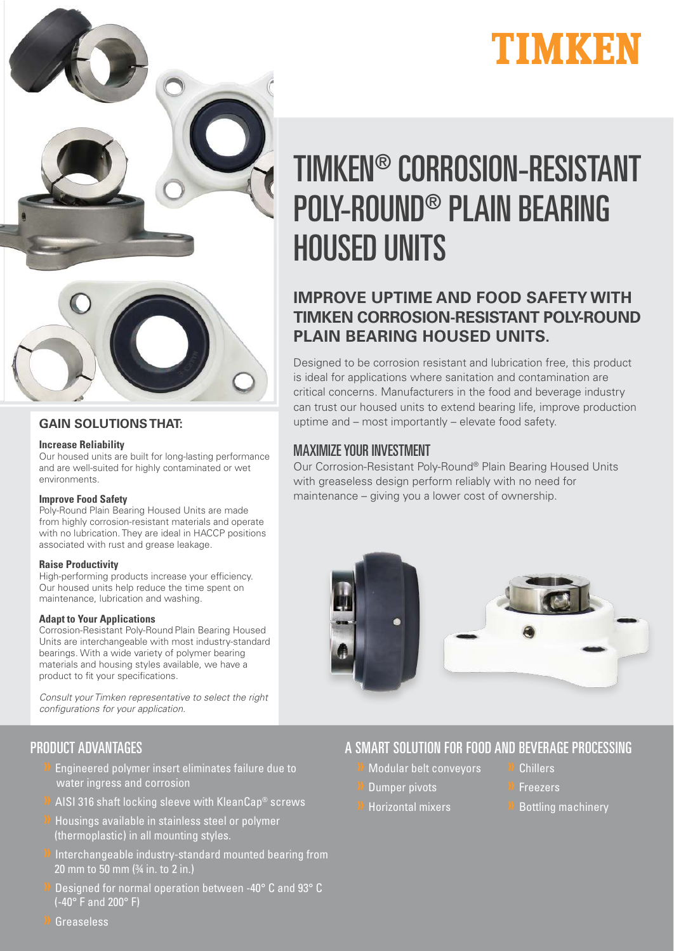



## **GAIN SOLUTIONS THAT:**

### **Increase Reliability**

Our housed units are built for long-lasting performance and are well-suited for highly contaminated or wet environments.

### **Improve Food Safety**

Poly-Round Plain Bearing Housed Units are made from highly corrosion-resistant materials and operate with no lubrication. They are ideal in HACCP positions associated with rust and grease leakage.

## **Raise Productivity**

High-performing products increase your efficiency. Our housed units help reduce the time spent on maintenance, lubrication and washing.

### **Adapt to Your Applications**

Corrosion-Resistant Poly-Round Plain Bearing Housed Units are interchangeable with most industry-standard bearings. With a wide variety of polymer bearing materials and housing styles available, we have a product to fit your specifications.

Consult your Timken representative to select the right configurations for your application.

## PRODUCT ADVANTAGES

- » Engineered polymer insert eliminates failure due to water ingress and corrosion
- » AISI 316 shaft locking sleeve with KleanCap® screws
- » Housings available in stainless steel or polymer (thermoplastic) in all mounting styles.
- » Interchangeable industry-standard mounted bearing from 20 mm to 50 mm (¾ in. to 2 in.)
- » Designed for normal operation between -40° C and 93° C (-40° F and 200° F)

# TIMKEN® CORROSION-RESISTANT POLY-ROUND® PLAIN BEARING HOUSED UNITS

## **IMPROVE UPTIME AND FOOD SAFETY WITH TIMKEN CORROSION-RESISTANT POLY-ROUND PLAIN BEARING HOUSED UNITS.**

Designed to be corrosion resistant and lubrication free, this product is ideal for applications where sanitation and contamination are critical concerns. Manufacturers in the food and beverage industry can trust our housed units to extend bearing life, improve production uptime and – most importantly – elevate food safety.

## MAXIMIZE YOUR INVESTMENT

Our Corrosion-Resistant Poly-Round® Plain Bearing Housed Units with greaseless design perform reliably with no need for maintenance – giving you a lower cost of ownership.



A SMART SOLUTION FOR FOOD AND BEVERAGE PROCESSING

- » Modular belt conveyors
- » Dumper pivots
- » Horizontal mixers
- » Chillers
- **Freezers**
- » Bottling machinery

» Greaseless